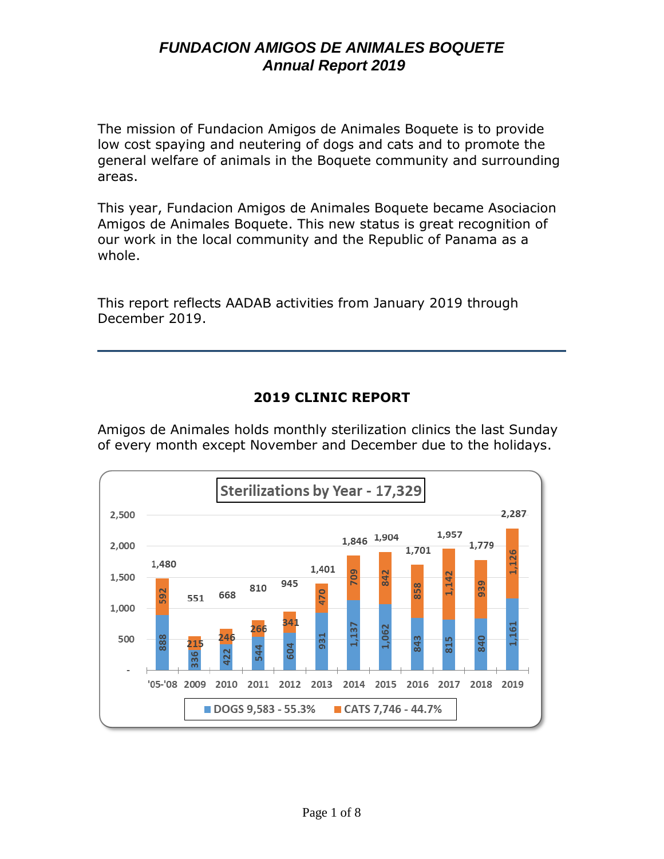The mission of Fundacion Amigos de Animales Boquete is to provide low cost spaying and neutering of dogs and cats and to promote the general welfare of animals in the Boquete community and surrounding areas.

This year, Fundacion Amigos de Animales Boquete became Asociacion Amigos de Animales Boquete. This new status is great recognition of our work in the local community and the Republic of Panama as a whole.

This report reflects AADAB activities from January 2019 through December 2019.

### **2019 CLINIC REPORT**

Amigos de Animales holds monthly sterilization clinics the last Sunday of every month except November and December due to the holidays.

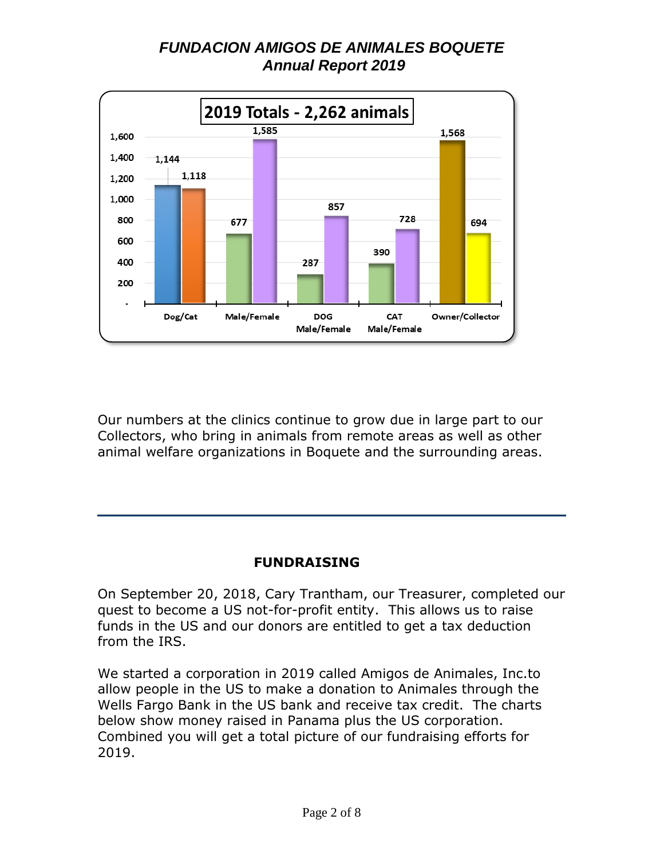

Our numbers at the clinics continue to grow due in large part to our Collectors, who bring in animals from remote areas as well as other animal welfare organizations in Boquete and the surrounding areas.

### **FUNDRAISING**

On September 20, 2018, Cary Trantham, our Treasurer, completed our quest to become a US not-for-profit entity. This allows us to raise funds in the US and our donors are entitled to get a tax deduction from the IRS.

We started a corporation in 2019 called Amigos de Animales, Inc.to allow people in the US to make a donation to Animales through the Wells Fargo Bank in the US bank and receive tax credit. The charts below show money raised in Panama plus the US corporation. Combined you will get a total picture of our fundraising efforts for 2019.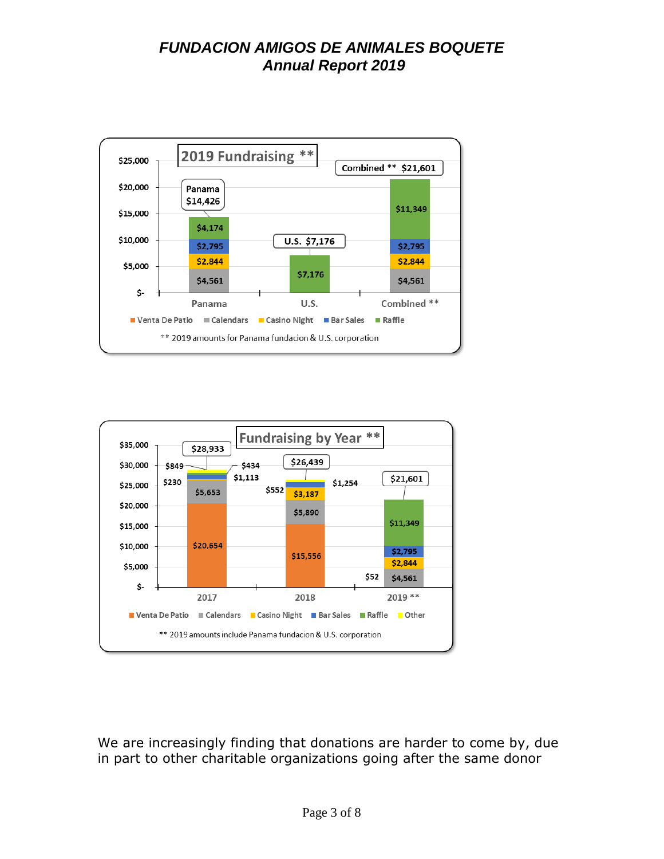



We are increasingly finding that donations are harder to come by, due in part to other charitable organizations going after the same donor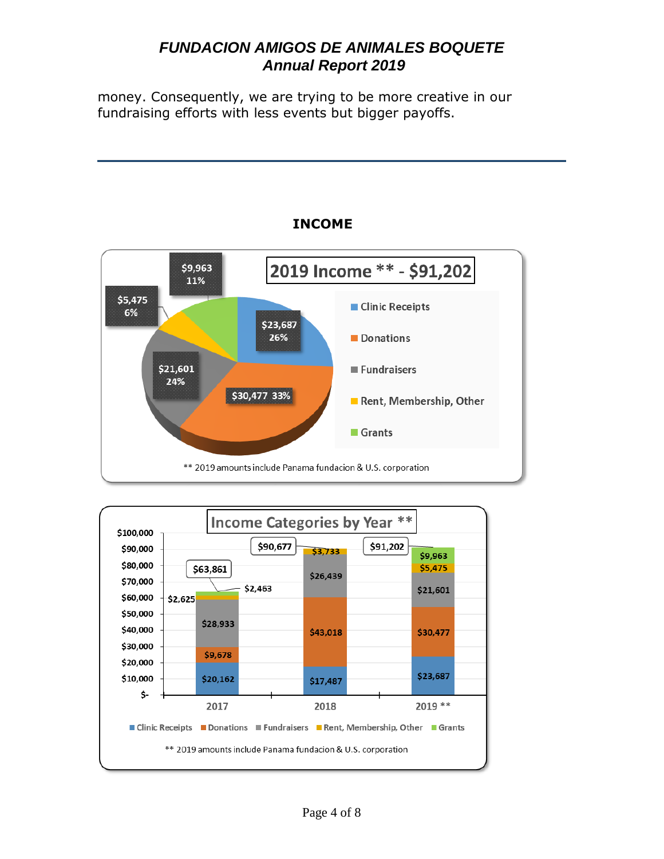money. Consequently, we are trying to be more creative in our fundraising efforts with less events but bigger payoffs.





#### **INCOME**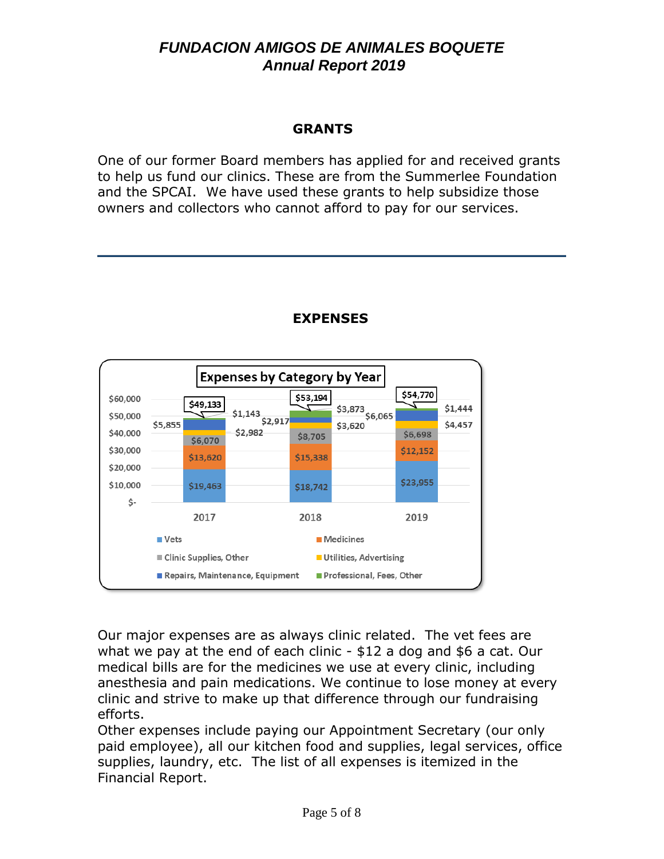### **GRANTS**

One of our former Board members has applied for and received grants to help us fund our clinics. These are from the Summerlee Foundation and the SPCAI. We have used these grants to help subsidize those owners and collectors who cannot afford to pay for our services.



#### **EXPENSES**

Our major expenses are as always clinic related. The vet fees are what we pay at the end of each clinic - \$12 a dog and \$6 a cat. Our medical bills are for the medicines we use at every clinic, including anesthesia and pain medications. We continue to lose money at every clinic and strive to make up that difference through our fundraising efforts.

Other expenses include paying our Appointment Secretary (our only paid employee), all our kitchen food and supplies, legal services, office supplies, laundry, etc. The list of all expenses is itemized in the Financial Report.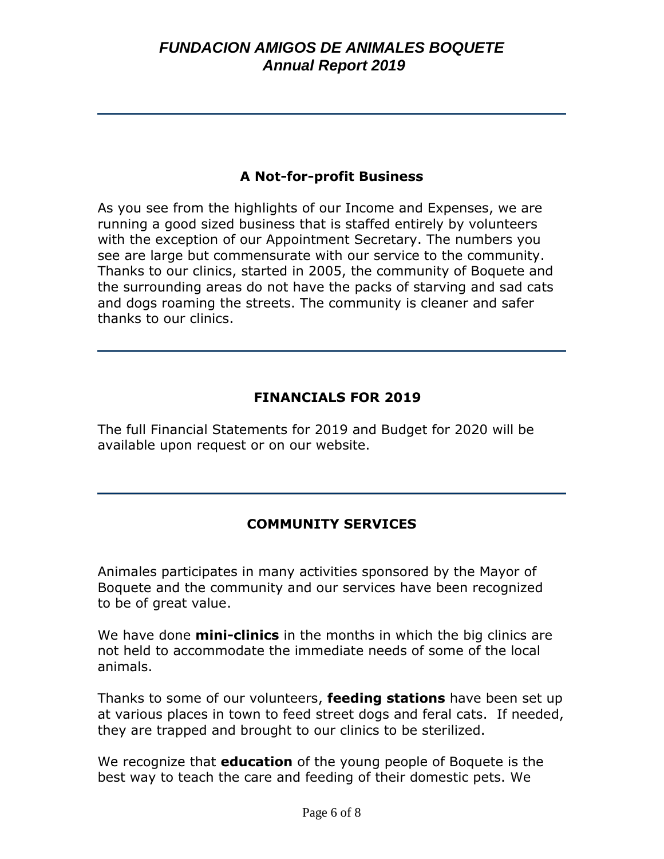### **A Not-for-profit Business**

As you see from the highlights of our Income and Expenses, we are running a good sized business that is staffed entirely by volunteers with the exception of our Appointment Secretary. The numbers you see are large but commensurate with our service to the community. Thanks to our clinics, started in 2005, the community of Boquete and the surrounding areas do not have the packs of starving and sad cats and dogs roaming the streets. The community is cleaner and safer thanks to our clinics.

### **FINANCIALS FOR 2019**

The full Financial Statements for 2019 and Budget for 2020 will be available upon request or on our website.

### **COMMUNITY SERVICES**

Animales participates in many activities sponsored by the Mayor of Boquete and the community and our services have been recognized to be of great value.

We have done **mini-clinics** in the months in which the big clinics are not held to accommodate the immediate needs of some of the local animals.

Thanks to some of our volunteers, **feeding stations** have been set up at various places in town to feed street dogs and feral cats. If needed, they are trapped and brought to our clinics to be sterilized.

We recognize that **education** of the young people of Boquete is the best way to teach the care and feeding of their domestic pets. We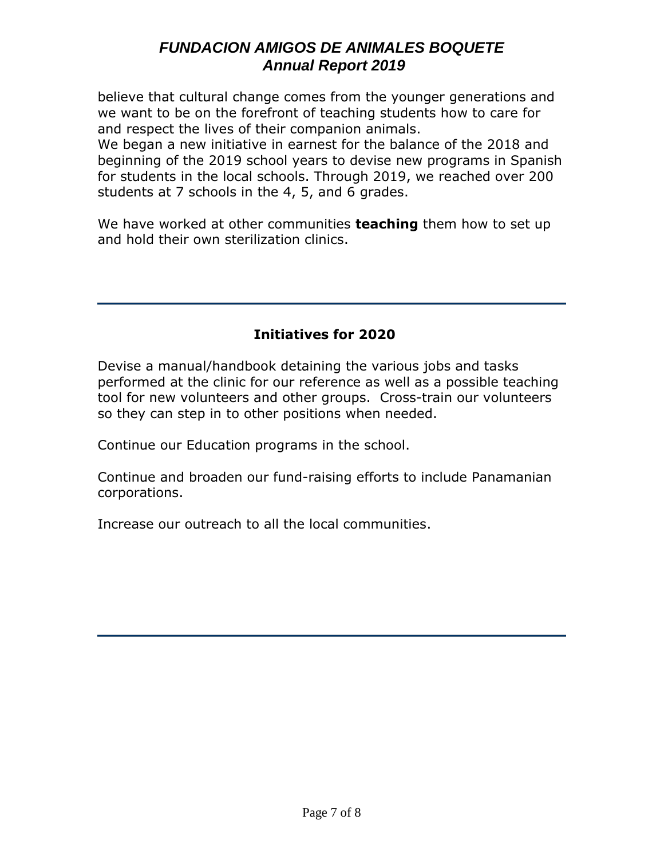believe that cultural change comes from the younger generations and we want to be on the forefront of teaching students how to care for and respect the lives of their companion animals.

We began a new initiative in earnest for the balance of the 2018 and beginning of the 2019 school years to devise new programs in Spanish for students in the local schools. Through 2019, we reached over 200 students at 7 schools in the 4, 5, and 6 grades.

We have worked at other communities **teaching** them how to set up and hold their own sterilization clinics.

### **Initiatives for 2020**

Devise a manual/handbook detaining the various jobs and tasks performed at the clinic for our reference as well as a possible teaching tool for new volunteers and other groups. Cross-train our volunteers so they can step in to other positions when needed.

Continue our Education programs in the school.

Continue and broaden our fund-raising efforts to include Panamanian corporations.

Increase our outreach to all the local communities.